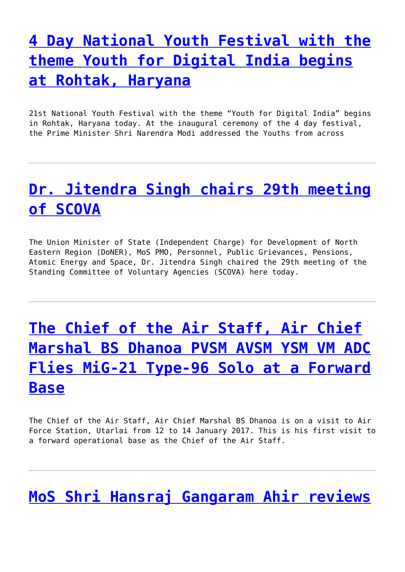# **[4 Day National Youth Festival with the](http://pib.nic.in/newsite/PrintRelease.aspx?relid=157306) [theme Youth for Digital India begins](http://pib.nic.in/newsite/PrintRelease.aspx?relid=157306) [at Rohtak, Haryana](http://pib.nic.in/newsite/PrintRelease.aspx?relid=157306)**

21st National Youth Festival with the theme "Youth for Digital India" begins in Rohtak, Haryana today. At the inaugural ceremony of the 4 day festival, the Prime Minister Shri Narendra Modi addressed the Youths from across

## **[Dr. Jitendra Singh chairs 29th meeting](http://pib.nic.in/newsite/PrintRelease.aspx?relid=157305) [of SCOVA](http://pib.nic.in/newsite/PrintRelease.aspx?relid=157305)**

The Union Minister of State (Independent Charge) for Development of North Eastern Region (DoNER), MoS PMO, Personnel, Public Grievances, Pensions, Atomic Energy and Space, Dr. Jitendra Singh chaired the 29th meeting of the Standing Committee of Voluntary Agencies (SCOVA) here today.

# **[The Chief of the Air Staff, Air Chief](http://pib.nic.in/newsite/PrintRelease.aspx?relid=157303) [Marshal BS Dhanoa PVSM AVSM YSM VM ADC](http://pib.nic.in/newsite/PrintRelease.aspx?relid=157303) [Flies MiG-21 Type-96 Solo at a Forward](http://pib.nic.in/newsite/PrintRelease.aspx?relid=157303) [Base](http://pib.nic.in/newsite/PrintRelease.aspx?relid=157303)**

The Chief of the Air Staff, Air Chief Marshal BS Dhanoa is on a visit to Air Force Station, Utarlai from 12 to 14 January 2017. This is his first visit to a forward operational base as the Chief of the Air Staff.

#### **[MoS Shri Hansraj Gangaram Ahir reviews](http://pib.nic.in/newsite/PrintRelease.aspx?relid=157302)**